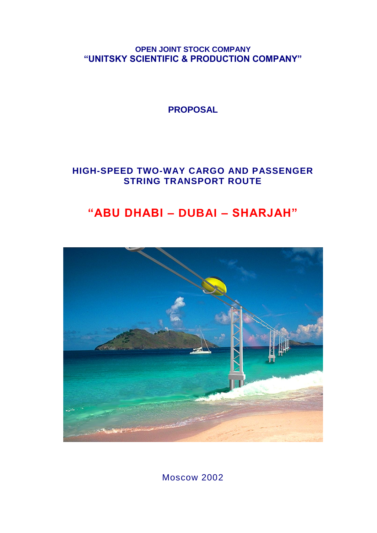**OPEN JOINT STOCK COMPANY "UNITSKY SCIENTIFIC & PRODUCTION COMPANY"**

**PROPOSAL**

**HIGH-SPEED TWO-WAY CARGO AND PASSENGER STRING TRANSPORT ROUTE**

# **"ABU DHABI – DUBAI – SHARJAH"**



Moscow 2002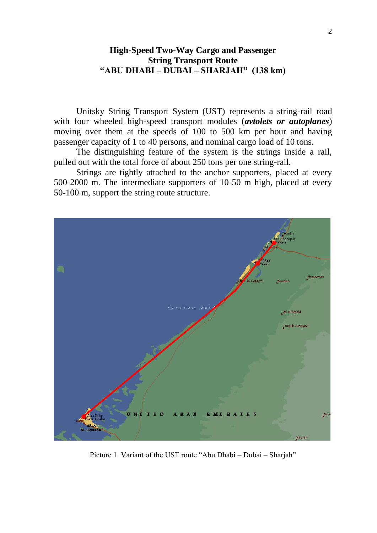## **High-Speed Two-Way Cargo and Passenger String Transport Route "ABU DHABI – DUBAI – SHARJAH" (138 km)**

Unitsky String Transport System (UST) represents a string-rail road with four wheeled high-speed transport modules (*avtolets or autoplanes*) moving over them at the speeds of 100 to 500 km per hour and having passenger capacity of 1 to 40 persons, and nominal cargo load of 10 tons.

The distinguishing feature of the system is the strings inside a rail, pulled out with the total force of about 250 tons per one string-rail.

Strings are tightly attached to the anchor supporters, placed at every 500-2000 m. The intermediate supporters of 10-50 m high, placed at every 50-100 m, support the string route structure.



Picture 1. Variant of the UST route "Abu Dhabi – Dubai – Sharjah"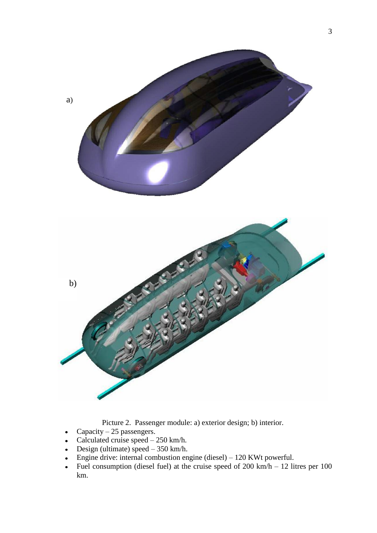

Picture 2. Passenger module: a) exterior design; b) interior.

- Capacity  $-25$  passengers.  $\bullet$
- Calculated cruise speed 250 km/h.  $\bullet$
- Design (ultimate) speed  $-350$  km/h.
- Engine drive: internal combustion engine (diesel) 120 KWt powerful.  $\bullet$
- Fuel consumption (diesel fuel) at the cruise speed of  $200 \text{ km/h} 12 \text{ litres per } 100$  $\bullet$ km.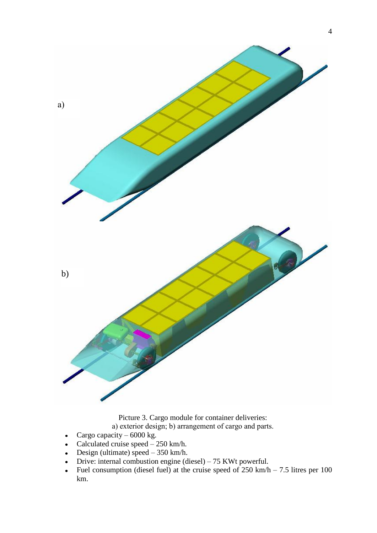

Picture 3. Cargo module for container deliveries: а) exterior design; b) arrangement of cargo and parts.

- Cargo capacity  $-6000 \text{ kg}$ .  $\bullet$
- Calculated cruise speed  $250$  km/h.  $\bullet$
- Design (ultimate) speed 350 km/h.  $\bullet$
- Drive: internal combustion engine (diesel) 75 KWt powerful.  $\bullet$
- Fuel consumption (diesel fuel) at the cruise speed of  $250 \text{ km/h} 7.5$  litres per 100  $\bullet$ km.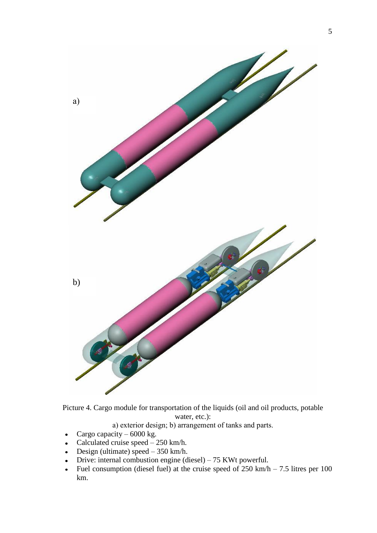

Picture 4. Cargo module for transportation of the liquids (oil and oil products, potable water, etc.):

а) exterior design; b) arrangement of tanks and parts.

- Cargo capacity 6000 kg.  $\bullet$
- Calculated cruise speed 250 km/h.  $\bullet$
- Design (ultimate) speed  $-350$  km/h.  $\bullet$
- Drive: internal combustion engine (diesel) 75 KWt powerful.  $\bullet$
- Fuel consumption (diesel fuel) at the cruise speed of  $250 \text{ km/h} 7.5$  litres per 100  $\bullet$ km.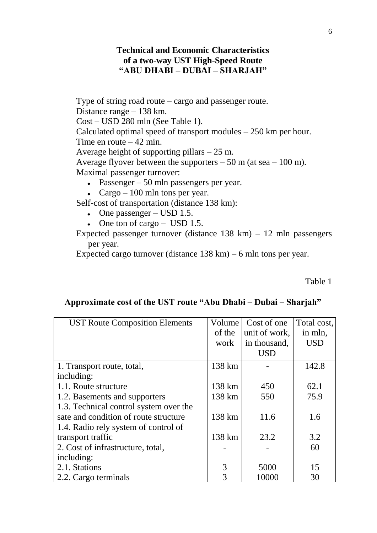# **Technical and Economic Characteristics of a two-way UST High-Speed Route "ABU DHABI – DUBAI – SHARJAH"**

Type of string road route – cargo and passenger route. Distance range – 138 km. Cost – USD 280 mln (See Table 1). Calculated optimal speed of transport modules – 250 km per hour. Time en route  $-42$  min. Average height of supporting pillars – 25 m. Average flyover between the supporters  $-50$  m (at sea  $-100$  m). Maximal passenger turnover:

- Passenger 50 mln passengers per year.
- Cargo 100 mln tons per year.

Self-cost of transportation (distance 138 km):

- $\bullet$  One passenger USD 1.5.
- $\bullet$  One ton of cargo USD 1.5.

Expected passenger turnover (distance  $138 \text{ km}$ ) –  $12 \text{ min}$  passengers per year.

Expected cargo turnover (distance 138 km) – 6 mln tons per year.

Table 1

## **Approximate cost of the UST route "Abu Dhabi – Dubai – Sharjah"**

| <b>UST Route Composition Elements</b>  | Volume | Cost of one   | Total cost, |  |
|----------------------------------------|--------|---------------|-------------|--|
|                                        | of the | unit of work, | in mln,     |  |
|                                        | work   | in thousand,  | USD         |  |
|                                        |        | <b>USD</b>    |             |  |
| 1. Transport route, total,             | 138 km |               | 142.8       |  |
| including:                             |        |               |             |  |
| 1.1. Route structure                   | 138 km | 450           | 62.1        |  |
| 1.2. Basements and supporters          | 138 km | 550           | 75.9        |  |
| 1.3. Technical control system over the |        |               |             |  |
| sate and condition of route structure  | 138 km | 11.6          | 1.6         |  |
| 1.4. Radio rely system of control of   |        |               |             |  |
| transport traffic                      | 138 km | 23.2          | 3.2         |  |
| 2. Cost of infrastructure, total,      |        |               | 60          |  |
| including:                             |        |               |             |  |
| 2.1. Stations                          | 3      | 5000          | 15          |  |
| 2.2. Cargo terminals                   | 3      | 10000         | 30          |  |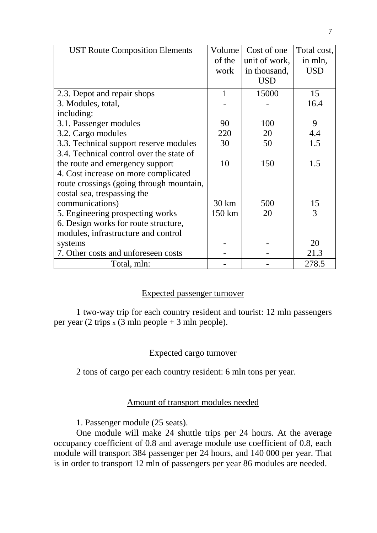| <b>UST Route Composition Elements</b>    | Volume           | Cost of one   | Total cost, |  |
|------------------------------------------|------------------|---------------|-------------|--|
|                                          | of the           | unit of work, | in mln,     |  |
|                                          | work             | in thousand,  | <b>USD</b>  |  |
|                                          |                  | <b>USD</b>    |             |  |
| 2.3. Depot and repair shops              | $\mathbf{1}$     | 15000         | 15          |  |
| 3. Modules, total,                       |                  |               | 16.4        |  |
| including:                               |                  |               |             |  |
| 3.1. Passenger modules                   | 90               | 100           | 9           |  |
| 3.2. Cargo modules                       | 220              | 20            | 4.4         |  |
| 3.3. Technical support reserve modules   | 30               | 50            | 1.5         |  |
| 3.4. Technical control over the state of |                  |               |             |  |
| the route and emergency support          | 10               | 150           | 1.5         |  |
| 4. Cost increase on more complicated     |                  |               |             |  |
| route crossings (going through mountain, |                  |               |             |  |
| costal sea, trespassing the              |                  |               |             |  |
| communications)                          | $30 \mathrm{km}$ | 500           | 15          |  |
| 5. Engineering prospecting works         | 150 km           | 20            | 3           |  |
| 6. Design works for route structure,     |                  |               |             |  |
| modules, infrastructure and control      |                  |               |             |  |
| systems                                  |                  |               | 20          |  |
| 7. Other costs and unforeseen costs      |                  |               | 21.3        |  |
| Total, mln:                              |                  |               | 278.5       |  |

## Expected passenger turnover

1 two-way trip for each country resident and tourist: 12 mln passengers per year (2 trips  $x$  (3 mln people + 3 mln people).

#### Expected cargo turnover

2 tons of cargo per each country resident: 6 mln tons per year.

# Amount of transport modules needed

1. Passenger module (25 seats).

One module will make 24 shuttle trips per 24 hours. At the average occupancy coefficient of 0.8 and average module use coefficient of 0.8, each module will transport 384 passenger per 24 hours, and 140 000 per year. That is in order to transport 12 mln of passengers per year 86 modules are needed.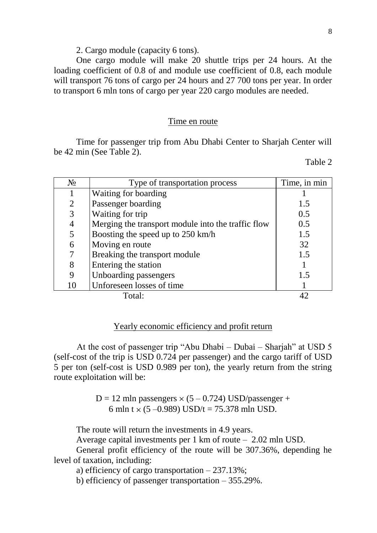#### 2. Cargo module (capacity 6 tons).

One cargo module will make 20 shuttle trips per 24 hours. At the loading coefficient of 0.8 of and module use coefficient of 0.8, each module will transport 76 tons of cargo per 24 hours and 27 700 tons per year. In order to transport 6 mln tons of cargo per year 220 cargo modules are needed.

#### Time en route

Time for passenger trip from Abu Dhabi Center to Sharjah Center will be 42 min (See Table 2).

Table 2

| $N_2$          | Type of transportation process                     | Time, in min |
|----------------|----------------------------------------------------|--------------|
|                | Waiting for boarding                               |              |
| $\overline{2}$ | Passenger boarding                                 | 1.5          |
| 3              | Waiting for trip                                   | 0.5          |
| 4              | Merging the transport module into the traffic flow | 0.5          |
| 5              | Boosting the speed up to 250 km/h                  | 1.5          |
| 6              | Moving en route                                    | 32           |
| 7              | Breaking the transport module                      | 1.5          |
| 8              | Entering the station                               |              |
| 9              | Unboarding passengers                              | 1.5          |
| 10             | Unforeseen losses of time                          |              |
|                | Total:                                             |              |

#### Yearly economic efficiency and profit return

At the cost of passenger trip "Abu Dhabi – Dubai – Sharjah" at USD 5 (self-cost of the trip is USD 0.724 per passenger) and the cargo tariff of USD 5 per ton (self-cost is USD 0.989 per ton), the yearly return from the string route exploitation will be:

> $D = 12$  mln passengers  $\times (5 - 0.724)$  USD/passenger + 6 mln t  $\times$  (5 –0.989) USD/t = 75.378 mln USD.

The route will return the investments in 4.9 years.

Average capital investments per 1 km of route – 2.02 mln USD.

General profit efficiency of the route will be 307.36%, depending he level of taxation, including:

a) efficiency of cargo transportation – 237.13%;

b) efficiency of passenger transportation – 355.29%.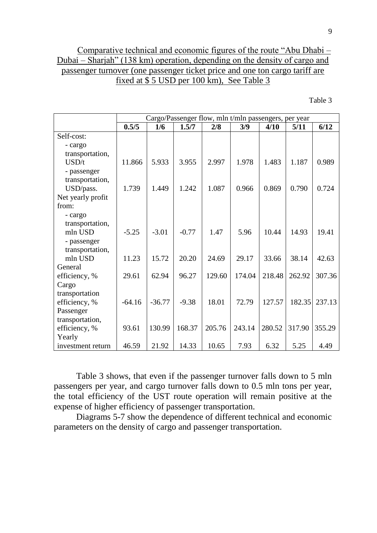# Comparative technical and economic figures of the route "Abu Dhabi – Dubai – Sharjah" (138 km) operation, depending on the density of cargo and passenger turnover (one passenger ticket price and one ton cargo tariff are fixed at \$ 5 USD per 100 km), See Table 3

Table 3

|                   | Cargo/Passenger flow, mln t/mln passengers, per year |          |         |        |        |        |        |        |
|-------------------|------------------------------------------------------|----------|---------|--------|--------|--------|--------|--------|
|                   | 0.5/5                                                | 1/6      | 1.5/7   | 2/8    | 3/9    | 4/10   | 5/11   | 6/12   |
| Self-cost:        |                                                      |          |         |        |        |        |        |        |
| - cargo           |                                                      |          |         |        |        |        |        |        |
| transportation,   |                                                      |          |         |        |        |        |        |        |
| USD/t             | 11.866                                               | 5.933    | 3.955   | 2.997  | 1.978  | 1.483  | 1.187  | 0.989  |
| - passenger       |                                                      |          |         |        |        |        |        |        |
| transportation,   |                                                      |          |         |        |        |        |        |        |
| USD/pass.         | 1.739                                                | 1.449    | 1.242   | 1.087  | 0.966  | 0.869  | 0.790  | 0.724  |
| Net yearly profit |                                                      |          |         |        |        |        |        |        |
| from:             |                                                      |          |         |        |        |        |        |        |
| - cargo           |                                                      |          |         |        |        |        |        |        |
| transportation,   |                                                      |          |         |        |        |        |        |        |
| mln USD           | $-5.25$                                              | $-3.01$  | $-0.77$ | 1.47   | 5.96   | 10.44  | 14.93  | 19.41  |
| - passenger       |                                                      |          |         |        |        |        |        |        |
| transportation,   |                                                      |          |         |        |        |        |        |        |
| mln USD           | 11.23                                                | 15.72    | 20.20   | 24.69  | 29.17  | 33.66  | 38.14  | 42.63  |
| General           |                                                      |          |         |        |        |        |        |        |
| efficiency, %     | 29.61                                                | 62.94    | 96.27   | 129.60 | 174.04 | 218.48 | 262.92 | 307.36 |
| Cargo             |                                                      |          |         |        |        |        |        |        |
| transportation    |                                                      |          |         |        |        |        |        |        |
| efficiency, %     | $-64.16$                                             | $-36.77$ | $-9.38$ | 18.01  | 72.79  | 127.57 | 182.35 | 237.13 |
| Passenger         |                                                      |          |         |        |        |        |        |        |
| transportation,   |                                                      |          |         |        |        |        |        |        |
| efficiency, %     | 93.61                                                | 130.99   | 168.37  | 205.76 | 243.14 | 280.52 | 317.90 | 355.29 |
| Yearly            |                                                      |          |         |        |        |        |        |        |
| investment return | 46.59                                                | 21.92    | 14.33   | 10.65  | 7.93   | 6.32   | 5.25   | 4.49   |

Table 3 shows, that even if the passenger turnover falls down to 5 mln passengers per year, and cargo turnover falls down to 0.5 mln tons per year, the total efficiency of the UST route operation will remain positive at the expense of higher efficiency of passenger transportation.

Diagrams 5-7 show the dependence of different technical and economic parameters on the density of cargo and passenger transportation.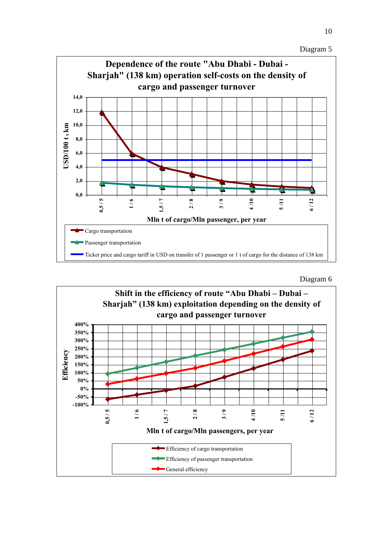Diagram 5



Diagram 6